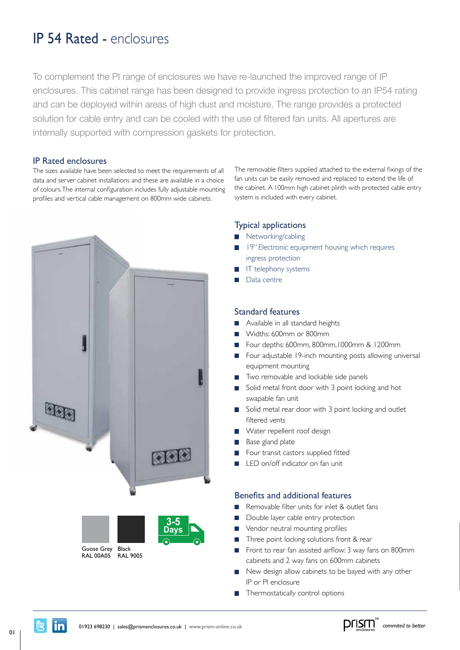# IP 54 Rated - enclosures

To complement the PI range of enclosures we have re-launched the improved range of IP enclosures. This cabinet range has been designed to provide ingress protection to an IP54 rating and can be deployed within areas of high dust and moisture. The range provides a protected solution for cable entry and can be cooled with the use of filtered fan units. All apertures are internally supported with compression gaskets for protection.

### IP Rated enclosures

The sizes available have been selected to meet the requirements of all data and server cabinet installations and these are available in a choice of colours.The internal configuration includes fully adjustable mounting profiles and ver tical cable management on 800mm wide cabinets.





The removable filters supplied attached to the external fixings of the fan units can be easily removed and replaced to extend the life of the cabinet. A 100mm high cabinet plinth with protected cable entry system is included with every cabinet.

### Typical applications

- Networking/cabling
- **19** 19" Electronic equipment housing which requires ingress protection
- IT telephony systems
- Data centre

#### Standard features

- Available in all standard heights
- Widths: 600mm or 800mm
- Four depths: 600mm, 800mm,1000mm & 1200mm
- Four adjustable 19-inch mounting posts allowing universal equipment mounting
- Two removable and lockable side panels
- Solid metal front door with 3 point locking and hot swapable fan unit
- Solid metal rear door with 3 point locking and outlet filtered vents
- Water repellent roof design
- Base gland plate
- Four transit castors supplied fitted
- LED on/off indicator on fan unit

## Benefits and additional features

- Removable filter units for inlet & outlet fans
- Double layer cable entry protection **5-7**
- Vendor neutral mounting profiles **Days**
- Three point locking solutions front & rear
- Front to rear fan assisted airflow: 3 way fans on 800mm cabinets and 2 way fans on 600mm cabinets
- New design allow cabinets to be bayed with any other IP or PI enclosure
- $\blacksquare$  Thermostatically control options



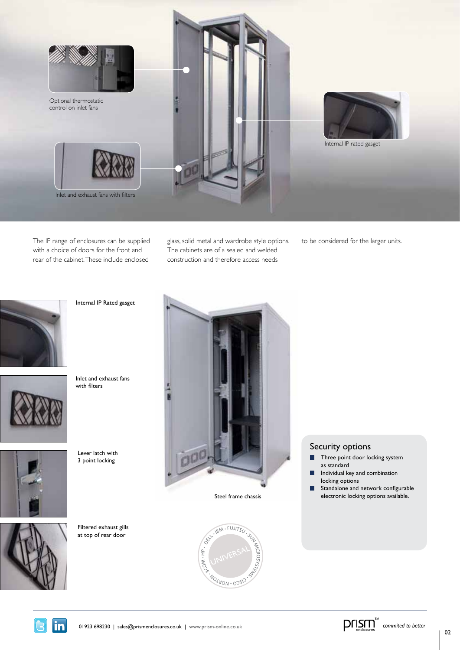

The IP range of enclosures can be supplied with a choice of doors for the front and rear of the cabinet. These include enclosed

glass, solid metal and wardrobe style options. The cabinets are of a sealed and welded construction and therefore access needs

to be considered for the larger units.



Inlet and exhaust fans with filters

Internal IP Rated gasget



Lever latch with 3 point locking



Filtered exhaust gills at top of rear door





## Security options

- Г Three point door locking system as standard
- Individual key and combination г locking options
- $\blacksquare$ Standalone and network configurable electronic locking options available.